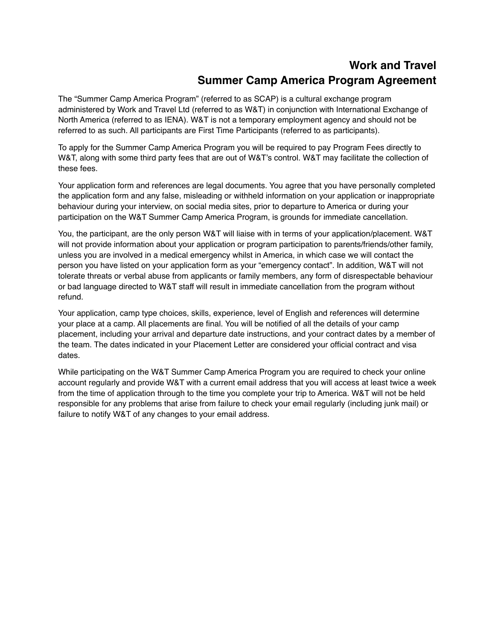# **Work and Travel Summer Camp America Program Agreement**

The "Summer Camp America Program" (referred to as SCAP) is a cultural exchange program administered by Work and Travel Ltd (referred to as W&T) in conjunction with International Exchange of North America (referred to as IENA). W&T is not a temporary employment agency and should not be referred to as such. All participants are First Time Participants (referred to as participants).

To apply for the Summer Camp America Program you will be required to pay Program Fees directly to W&T, along with some third party fees that are out of W&T's control. W&T may facilitate the collection of these fees.

Your application form and references are legal documents. You agree that you have personally completed the application form and any false, misleading or withheld information on your application or inappropriate behaviour during your interview, on social media sites, prior to departure to America or during your participation on the W&T Summer Camp America Program, is grounds for immediate cancellation.

You, the participant, are the only person W&T will liaise with in terms of your application/placement. W&T will not provide information about your application or program participation to parents/friends/other family, unless you are involved in a medical emergency whilst in America, in which case we will contact the person you have listed on your application form as your "emergency contact". In addition, W&T will not tolerate threats or verbal abuse from applicants or family members, any form of disrespectable behaviour or bad language directed to W&T staff will result in immediate cancellation from the program without refund.

Your application, camp type choices, skills, experience, level of English and references will determine your place at a camp. All placements are final. You will be notified of all the details of your camp placement, including your arrival and departure date instructions, and your contract dates by a member of the team. The dates indicated in your Placement Letter are considered your official contract and visa dates.

While participating on the W&T Summer Camp America Program you are required to check your online account regularly and provide W&T with a current email address that you will access at least twice a week from the time of application through to the time you complete your trip to America. W&T will not be held responsible for any problems that arise from failure to check your email regularly (including junk mail) or failure to notify W&T of any changes to your email address.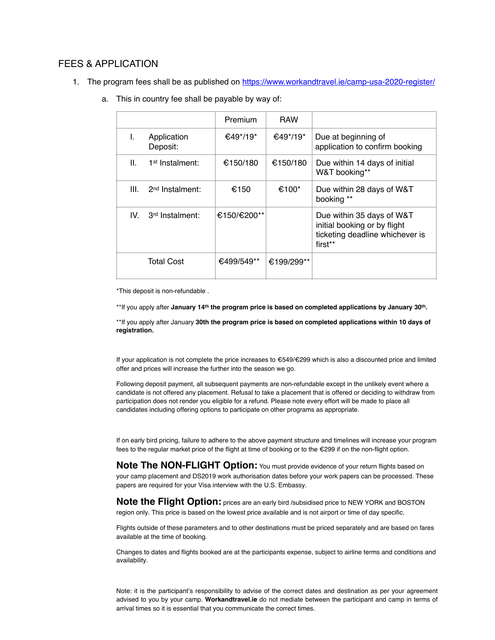### FEES & APPLICATION

1. The program fees shall be as published on <https://www.workandtravel.ie/camp-usa-2020-register/>

|      |                             | Premium     | <b>RAW</b> |                                                                                                         |
|------|-----------------------------|-------------|------------|---------------------------------------------------------------------------------------------------------|
| L.   | Application<br>Deposit:     | €49*/19*    | €49*/19*   | Due at beginning of<br>application to confirm booking                                                   |
| Ш.   | 1 <sup>st</sup> Instalment: | €150/180    | €150/180   | Due within 14 days of initial<br>W&T booking**                                                          |
| III. | 2 <sup>nd</sup> Instalment: | €150        | €100 $^*$  | Due within 28 days of W&T<br>booking **                                                                 |
| IV.  | 3rd Instalment:             | €150/€200** |            | Due within 35 days of W&T<br>initial booking or by flight<br>ticketing deadline whichever is<br>first** |
|      | Total Cost                  | €499/549**  | €199/299** |                                                                                                         |

a. This in country fee shall be payable by way of:

\*This deposit is non-refundable .

\*\*If you apply after **January 14th the program price is based on completed applications by January 30th.**

\*\*If you apply after January **30th the program price is based on completed applications within 10 days of registration.**

If your application is not complete the price increases to €549/€299 which is also a discounted price and limited offer and prices will increase the further into the season we go.

Following deposit payment, all subsequent payments are non-refundable except in the unlikely event where a candidate is not offered any placement. Refusal to take a placement that is offered or deciding to withdraw from participation does not render you eligible for a refund. Please note every effort will be made to place all candidates including offering options to participate on other programs as appropriate.

If on early bird pricing, failure to adhere to the above payment structure and timelines will increase your program fees to the regular market price of the flight at time of booking or to the €299 if on the non-flight option.

**Note The NON-FLIGHT Option:** You must provide evidence of your return flights based on your camp placement and DS2019 work authorisation dates before your work papers can be processed. These papers are required for your Visa interview with the U.S. Embassy.

**Note the Flight Option:** prices are an early bird /subsidised price to NEW YORK and BOSTON region only. This price is based on the lowest price available and is not airport or time of day specific.

Flights outside of these parameters and to other destinations must be priced separately and are based on fares available at the time of booking.

Changes to dates and flights booked are at the participants expense, subject to airline terms and conditions and availability.

Note: it is the participant's responsibility to advise of the correct dates and destination as per your agreement advised to you by your camp. **Workandtravel.ie** do not mediate between the participant and camp in terms of arrival times so it is essential that you communicate the correct times.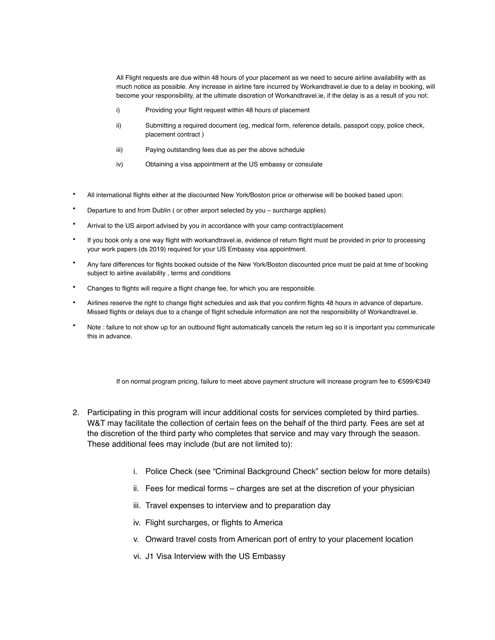All Flight requests are due within 48 hours of your placement as we need to secure airline availability with as much notice as possible. Any increase in airline fare incurred by Workandtravel.ie due to a delay in booking, will become your responsibility, at the ultimate discretion of Workandtravel.ie, if the delay is as a result of you not:

- i) Providing your flight request within 48 hours of placement
- ii) Submitting a required document (eg, medical form, reference details, passport copy, police check, placement contract )
- iii) Paying outstanding fees due as per the above schedule
- iv) Obtaining a visa appointment at the US embassy or consulate
- All international flights either at the discounted New York/Boston price or otherwise will be booked based upon:
- Departure to and from Dublin ( or other airport selected by you surcharge applies)
- Arrival to the US airport advised by you in accordance with your camp contract/placement
- If you book only a one way flight with workandtravel.ie, evidence of return flight must be provided in prior to processing your work papers (ds 2019) required for your US Embassy visa appointment.
- Any fare differences for flights booked outside of the New York/Boston discounted price must be paid at time of booking subject to airline availability , terms and conditions
- Changes to flights will require a flight change fee, for which you are responsible.
- Airlines reserve the right to change flight schedules and ask that you confirm flights 48 hours in advance of departure. Missed flights or delays due to a change of flight schedule information are not the responsibility of Workandtravel.ie.
- Note : failure to not show up for an outbound flight automatically cancels the return leg so it is important you communicate this in advance.

If on normal program pricing, failure to meet above payment structure will increase program fee to €599/€349

- 2. Participating in this program will incur additional costs for services completed by third parties. W&T may facilitate the collection of certain fees on the behalf of the third party. Fees are set at the discretion of the third party who completes that service and may vary through the season. These additional fees may include (but are not limited to):
	- i. Police Check (see "Criminal Background Check" section below for more details)
	- ii. Fees for medical forms charges are set at the discretion of your physician
	- iii. Travel expenses to interview and to preparation day
	- iv. Flight surcharges, or flights to America
	- v. Onward travel costs from American port of entry to your placement location
	- vi. J1 Visa Interview with the US Embassy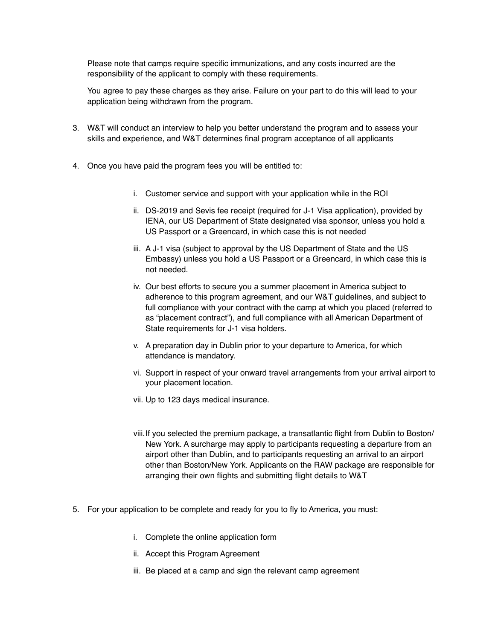Please note that camps require specific immunizations, and any costs incurred are the responsibility of the applicant to comply with these requirements.

You agree to pay these charges as they arise. Failure on your part to do this will lead to your application being withdrawn from the program.

- 3. W&T will conduct an interview to help you better understand the program and to assess your skills and experience, and W&T determines final program acceptance of all applicants
- 4. Once you have paid the program fees you will be entitled to:
	- i. Customer service and support with your application while in the ROI
	- ii. DS-2019 and Sevis fee receipt (required for J-1 Visa application), provided by IENA, our US Department of State designated visa sponsor, unless you hold a US Passport or a Greencard, in which case this is not needed
	- iii. A J-1 visa (subject to approval by the US Department of State and the US Embassy) unless you hold a US Passport or a Greencard, in which case this is not needed.
	- iv. Our best efforts to secure you a summer placement in America subject to adherence to this program agreement, and our W&T guidelines, and subject to full compliance with your contract with the camp at which you placed (referred to as "placement contract"), and full compliance with all American Department of State requirements for J-1 visa holders.
	- v. A preparation day in Dublin prior to your departure to America, for which attendance is mandatory.
	- vi. Support in respect of your onward travel arrangements from your arrival airport to your placement location.
	- vii. Up to 123 days medical insurance.
	- viii.If you selected the premium package, a transatlantic flight from Dublin to Boston/ New York. A surcharge may apply to participants requesting a departure from an airport other than Dublin, and to participants requesting an arrival to an airport other than Boston/New York. Applicants on the RAW package are responsible for arranging their own flights and submitting flight details to W&T
- 5. For your application to be complete and ready for you to fly to America, you must:
	- i. Complete the online application form
	- ii. Accept this Program Agreement
	- iii. Be placed at a camp and sign the relevant camp agreement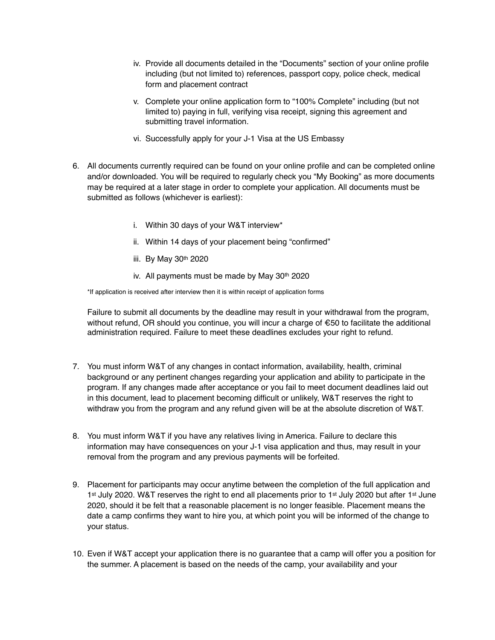- iv. Provide all documents detailed in the "Documents" section of your online profile including (but not limited to) references, passport copy, police check, medical form and placement contract
- v. Complete your online application form to "100% Complete" including (but not limited to) paying in full, verifying visa receipt, signing this agreement and submitting travel information.
- vi. Successfully apply for your J-1 Visa at the US Embassy
- 6. All documents currently required can be found on your online profile and can be completed online and/or downloaded. You will be required to regularly check you "My Booking" as more documents may be required at a later stage in order to complete your application. All documents must be submitted as follows (whichever is earliest):
	- i. Within 30 days of your W&T interview\*
	- ii. Within 14 days of your placement being "confirmed"
	- iii. By May 30th 2020
	- iv. All payments must be made by May 30th 2020

\*If application is received after interview then it is within receipt of application forms

Failure to submit all documents by the deadline may result in your withdrawal from the program, without refund, OR should you continue, you will incur a charge of €50 to facilitate the additional administration required. Failure to meet these deadlines excludes your right to refund.

- 7. You must inform W&T of any changes in contact information, availability, health, criminal background or any pertinent changes regarding your application and ability to participate in the program. If any changes made after acceptance or you fail to meet document deadlines laid out in this document, lead to placement becoming difficult or unlikely, W&T reserves the right to withdraw you from the program and any refund given will be at the absolute discretion of W&T.
- 8. You must inform W&T if you have any relatives living in America. Failure to declare this information may have consequences on your J-1 visa application and thus, may result in your removal from the program and any previous payments will be forfeited.
- 9. Placement for participants may occur anytime between the completion of the full application and 1<sup>st</sup> July 2020. W&T reserves the right to end all placements prior to 1<sup>st</sup> July 2020 but after 1<sup>st</sup> June 2020, should it be felt that a reasonable placement is no longer feasible. Placement means the date a camp confirms they want to hire you, at which point you will be informed of the change to your status.
- 10. Even if W&T accept your application there is no guarantee that a camp will offer you a position for the summer. A placement is based on the needs of the camp, your availability and your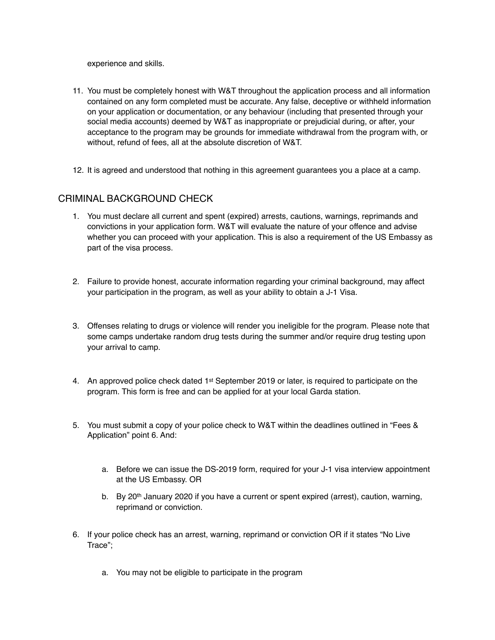experience and skills.

- 11. You must be completely honest with W&T throughout the application process and all information contained on any form completed must be accurate. Any false, deceptive or withheld information on your application or documentation, or any behaviour (including that presented through your social media accounts) deemed by W&T as inappropriate or prejudicial during, or after, your acceptance to the program may be grounds for immediate withdrawal from the program with, or without, refund of fees, all at the absolute discretion of W&T.
- 12. It is agreed and understood that nothing in this agreement guarantees you a place at a camp.

### CRIMINAL BACKGROUND CHECK

- 1. You must declare all current and spent (expired) arrests, cautions, warnings, reprimands and convictions in your application form. W&T will evaluate the nature of your offence and advise whether you can proceed with your application. This is also a requirement of the US Embassy as part of the visa process.
- 2. Failure to provide honest, accurate information regarding your criminal background, may affect your participation in the program, as well as your ability to obtain a J-1 Visa.
- 3. Offenses relating to drugs or violence will render you ineligible for the program. Please note that some camps undertake random drug tests during the summer and/or require drug testing upon your arrival to camp.
- 4. An approved police check dated  $1<sup>st</sup>$  September 2019 or later, is required to participate on the program. This form is free and can be applied for at your local Garda station.
- 5. You must submit a copy of your police check to W&T within the deadlines outlined in "Fees & Application" point 6. And:
	- a. Before we can issue the DS-2019 form, required for your J-1 visa interview appointment at the US Embassy. OR
	- b. By 20<sup>th</sup> January 2020 if you have a current or spent expired (arrest), caution, warning, reprimand or conviction.
- 6. If your police check has an arrest, warning, reprimand or conviction OR if it states "No Live Trace";
	- a. You may not be eligible to participate in the program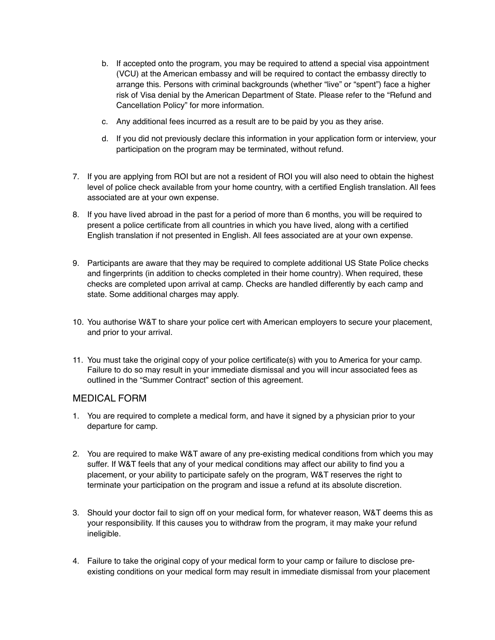- b. If accepted onto the program, you may be required to attend a special visa appointment (VCU) at the American embassy and will be required to contact the embassy directly to arrange this. Persons with criminal backgrounds (whether "live" or "spent") face a higher risk of Visa denial by the American Department of State. Please refer to the "Refund and Cancellation Policy" for more information.
- c. Any additional fees incurred as a result are to be paid by you as they arise.
- d. If you did not previously declare this information in your application form or interview, your participation on the program may be terminated, without refund.
- 7. If you are applying from ROI but are not a resident of ROI you will also need to obtain the highest level of police check available from your home country, with a certified English translation. All fees associated are at your own expense.
- 8. If you have lived abroad in the past for a period of more than 6 months, you will be required to present a police certificate from all countries in which you have lived, along with a certified English translation if not presented in English. All fees associated are at your own expense.
- 9. Participants are aware that they may be required to complete additional US State Police checks and fingerprints (in addition to checks completed in their home country). When required, these checks are completed upon arrival at camp. Checks are handled differently by each camp and state. Some additional charges may apply.
- 10. You authorise W&T to share your police cert with American employers to secure your placement, and prior to your arrival.
- 11. You must take the original copy of your police certificate(s) with you to America for your camp. Failure to do so may result in your immediate dismissal and you will incur associated fees as outlined in the "Summer Contract" section of this agreement.

### MEDICAL FORM

- 1. You are required to complete a medical form, and have it signed by a physician prior to your departure for camp.
- 2. You are required to make W&T aware of any pre-existing medical conditions from which you may suffer. If W&T feels that any of your medical conditions may affect our ability to find you a placement, or your ability to participate safely on the program, W&T reserves the right to terminate your participation on the program and issue a refund at its absolute discretion.
- 3. Should your doctor fail to sign off on your medical form, for whatever reason, W&T deems this as your responsibility. If this causes you to withdraw from the program, it may make your refund ineligible.
- 4. Failure to take the original copy of your medical form to your camp or failure to disclose preexisting conditions on your medical form may result in immediate dismissal from your placement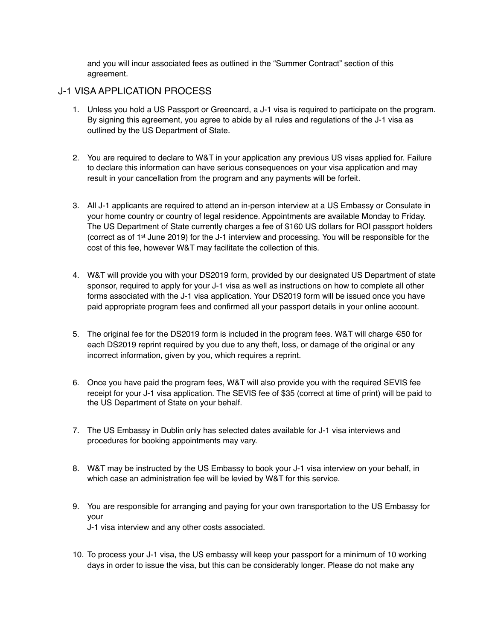and you will incur associated fees as outlined in the "Summer Contract" section of this agreement.

# J-1 VISA APPLICATION PROCESS

- 1. Unless you hold a US Passport or Greencard, a J-1 visa is required to participate on the program. By signing this agreement, you agree to abide by all rules and regulations of the J-1 visa as outlined by the US Department of State.
- 2. You are required to declare to W&T in your application any previous US visas applied for. Failure to declare this information can have serious consequences on your visa application and may result in your cancellation from the program and any payments will be forfeit.
- 3. All J-1 applicants are required to attend an in-person interview at a US Embassy or Consulate in your home country or country of legal residence. Appointments are available Monday to Friday. The US Department of State currently charges a fee of \$160 US dollars for ROI passport holders (correct as of 1st June 2019) for the J-1 interview and processing. You will be responsible for the cost of this fee, however W&T may facilitate the collection of this.
- 4. W&T will provide you with your DS2019 form, provided by our designated US Department of state sponsor, required to apply for your J-1 visa as well as instructions on how to complete all other forms associated with the J-1 visa application. Your DS2019 form will be issued once you have paid appropriate program fees and confirmed all your passport details in your online account.
- 5. The original fee for the DS2019 form is included in the program fees. W&T will charge €50 for each DS2019 reprint required by you due to any theft, loss, or damage of the original or any incorrect information, given by you, which requires a reprint.
- 6. Once you have paid the program fees, W&T will also provide you with the required SEVIS fee receipt for your J-1 visa application. The SEVIS fee of \$35 (correct at time of print) will be paid to the US Department of State on your behalf.
- 7. The US Embassy in Dublin only has selected dates available for J-1 visa interviews and procedures for booking appointments may vary.
- 8. W&T may be instructed by the US Embassy to book your J-1 visa interview on your behalf, in which case an administration fee will be levied by W&T for this service.
- 9. You are responsible for arranging and paying for your own transportation to the US Embassy for your J-1 visa interview and any other costs associated.
- 10. To process your J-1 visa, the US embassy will keep your passport for a minimum of 10 working days in order to issue the visa, but this can be considerably longer. Please do not make any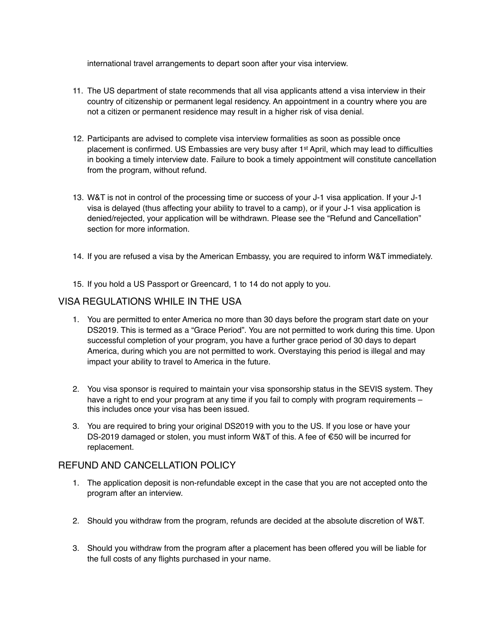international travel arrangements to depart soon after your visa interview.

- 11. The US department of state recommends that all visa applicants attend a visa interview in their country of citizenship or permanent legal residency. An appointment in a country where you are not a citizen or permanent residence may result in a higher risk of visa denial.
- 12. Participants are advised to complete visa interview formalities as soon as possible once placement is confirmed. US Embassies are very busy after 1st April, which may lead to difficulties in booking a timely interview date. Failure to book a timely appointment will constitute cancellation from the program, without refund.
- 13. W&T is not in control of the processing time or success of your J-1 visa application. If your J-1 visa is delayed (thus affecting your ability to travel to a camp), or if your J-1 visa application is denied/rejected, your application will be withdrawn. Please see the "Refund and Cancellation" section for more information.
- 14. If you are refused a visa by the American Embassy, you are required to inform W&T immediately.
- 15. If you hold a US Passport or Greencard, 1 to 14 do not apply to you.

### VISA REGULATIONS WHILE IN THE USA

- 1. You are permitted to enter America no more than 30 days before the program start date on your DS2019. This is termed as a "Grace Period". You are not permitted to work during this time. Upon successful completion of your program, you have a further grace period of 30 days to depart America, during which you are not permitted to work. Overstaying this period is illegal and may impact your ability to travel to America in the future.
- 2. You visa sponsor is required to maintain your visa sponsorship status in the SEVIS system. They have a right to end your program at any time if you fail to comply with program requirements this includes once your visa has been issued.
- 3. You are required to bring your original DS2019 with you to the US. If you lose or have your DS-2019 damaged or stolen, you must inform W&T of this. A fee of €50 will be incurred for replacement.

### REFUND AND CANCELLATION POLICY

- 1. The application deposit is non-refundable except in the case that you are not accepted onto the program after an interview.
- 2. Should you withdraw from the program, refunds are decided at the absolute discretion of W&T.
- 3. Should you withdraw from the program after a placement has been offered you will be liable for the full costs of any flights purchased in your name.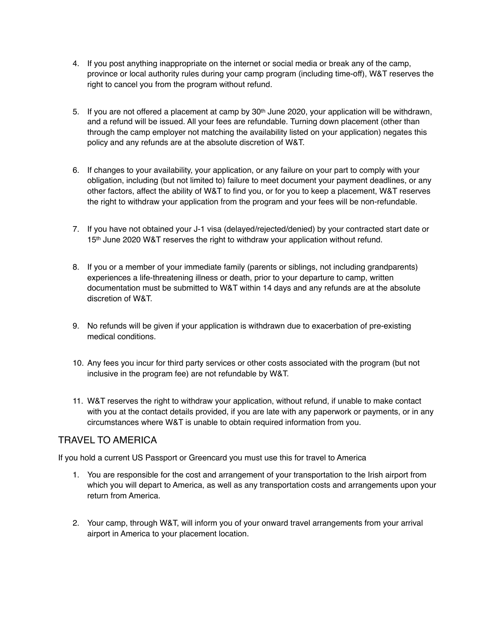- 4. If you post anything inappropriate on the internet or social media or break any of the camp, province or local authority rules during your camp program (including time-off), W&T reserves the right to cancel you from the program without refund.
- 5. If you are not offered a placement at camp by  $30<sup>th</sup>$  June 2020, your application will be withdrawn, and a refund will be issued. All your fees are refundable. Turning down placement (other than through the camp employer not matching the availability listed on your application) negates this policy and any refunds are at the absolute discretion of W&T.
- 6. If changes to your availability, your application, or any failure on your part to comply with your obligation, including (but not limited to) failure to meet document your payment deadlines, or any other factors, affect the ability of W&T to find you, or for you to keep a placement, W&T reserves the right to withdraw your application from the program and your fees will be non-refundable.
- 7. If you have not obtained your J-1 visa (delayed/rejected/denied) by your contracted start date or 15<sup>th</sup> June 2020 W&T reserves the right to withdraw your application without refund.
- 8. If you or a member of your immediate family (parents or siblings, not including grandparents) experiences a life-threatening illness or death, prior to your departure to camp, written documentation must be submitted to W&T within 14 days and any refunds are at the absolute discretion of W&T.
- 9. No refunds will be given if your application is withdrawn due to exacerbation of pre-existing medical conditions.
- 10. Any fees you incur for third party services or other costs associated with the program (but not inclusive in the program fee) are not refundable by W&T.
- 11. W&T reserves the right to withdraw your application, without refund, if unable to make contact with you at the contact details provided, if you are late with any paperwork or payments, or in any circumstances where W&T is unable to obtain required information from you.

# TRAVEL TO AMERICA

If you hold a current US Passport or Greencard you must use this for travel to America

- 1. You are responsible for the cost and arrangement of your transportation to the Irish airport from which you will depart to America, as well as any transportation costs and arrangements upon your return from America.
- 2. Your camp, through W&T, will inform you of your onward travel arrangements from your arrival airport in America to your placement location.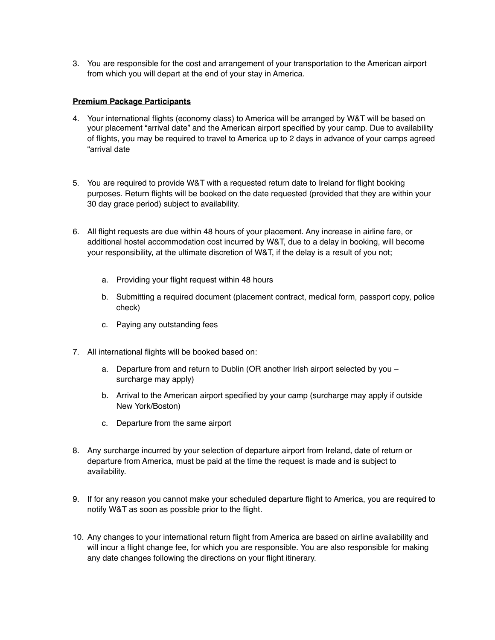3. You are responsible for the cost and arrangement of your transportation to the American airport from which you will depart at the end of your stay in America.

#### **Premium Package Participants**

- 4. Your international flights (economy class) to America will be arranged by W&T will be based on your placement "arrival date" and the American airport specified by your camp. Due to availability of flights, you may be required to travel to America up to 2 days in advance of your camps agreed "arrival date
- 5. You are required to provide W&T with a requested return date to Ireland for flight booking purposes. Return flights will be booked on the date requested (provided that they are within your 30 day grace period) subject to availability.
- 6. All flight requests are due within 48 hours of your placement. Any increase in airline fare, or additional hostel accommodation cost incurred by W&T, due to a delay in booking, will become your responsibility, at the ultimate discretion of W&T, if the delay is a result of you not;
	- a. Providing your flight request within 48 hours
	- b. Submitting a required document (placement contract, medical form, passport copy, police check)
	- c. Paying any outstanding fees
- 7. All international flights will be booked based on:
	- a. Departure from and return to Dublin (OR another Irish airport selected by you surcharge may apply)
	- b. Arrival to the American airport specified by your camp (surcharge may apply if outside New York/Boston)
	- c. Departure from the same airport
- 8. Any surcharge incurred by your selection of departure airport from Ireland, date of return or departure from America, must be paid at the time the request is made and is subject to availability.
- 9. If for any reason you cannot make your scheduled departure flight to America, you are required to notify W&T as soon as possible prior to the flight.
- 10. Any changes to your international return flight from America are based on airline availability and will incur a flight change fee, for which you are responsible. You are also responsible for making any date changes following the directions on your flight itinerary.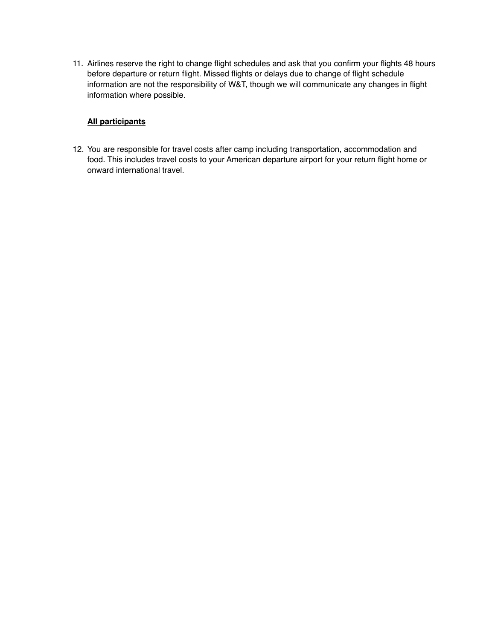11. Airlines reserve the right to change flight schedules and ask that you confirm your flights 48 hours before departure or return flight. Missed flights or delays due to change of flight schedule information are not the responsibility of W&T, though we will communicate any changes in flight information where possible.

#### **All participants**

12. You are responsible for travel costs after camp including transportation, accommodation and food. This includes travel costs to your American departure airport for your return flight home or onward international travel.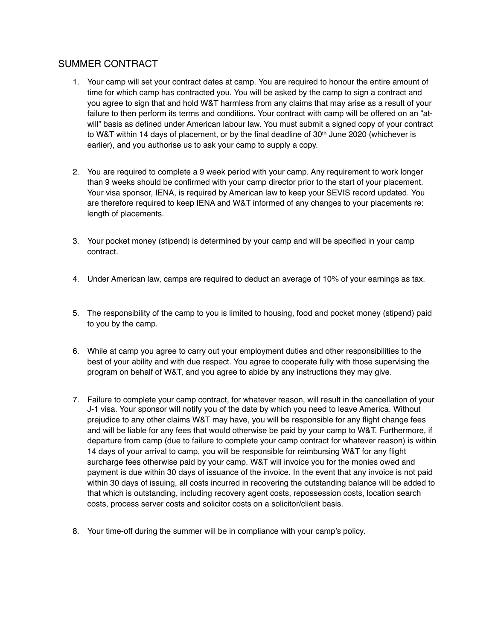# SUMMER CONTRACT

- 1. Your camp will set your contract dates at camp. You are required to honour the entire amount of time for which camp has contracted you. You will be asked by the camp to sign a contract and you agree to sign that and hold W&T harmless from any claims that may arise as a result of your failure to then perform its terms and conditions. Your contract with camp will be offered on an "atwill" basis as defined under American labour law. You must submit a signed copy of your contract to W&T within 14 days of placement, or by the final deadline of 30<sup>th</sup> June 2020 (whichever is earlier), and you authorise us to ask your camp to supply a copy.
- 2. You are required to complete a 9 week period with your camp. Any requirement to work longer than 9 weeks should be confirmed with your camp director prior to the start of your placement. Your visa sponsor, IENA, is required by American law to keep your SEVIS record updated. You are therefore required to keep IENA and W&T informed of any changes to your placements re: length of placements.
- 3. Your pocket money (stipend) is determined by your camp and will be specified in your camp contract.
- 4. Under American law, camps are required to deduct an average of 10% of your earnings as tax.
- 5. The responsibility of the camp to you is limited to housing, food and pocket money (stipend) paid to you by the camp.
- 6. While at camp you agree to carry out your employment duties and other responsibilities to the best of your ability and with due respect. You agree to cooperate fully with those supervising the program on behalf of W&T, and you agree to abide by any instructions they may give.
- 7. Failure to complete your camp contract, for whatever reason, will result in the cancellation of your J-1 visa. Your sponsor will notify you of the date by which you need to leave America. Without prejudice to any other claims W&T may have, you will be responsible for any flight change fees and will be liable for any fees that would otherwise be paid by your camp to W&T. Furthermore, if departure from camp (due to failure to complete your camp contract for whatever reason) is within 14 days of your arrival to camp, you will be responsible for reimbursing W&T for any flight surcharge fees otherwise paid by your camp. W&T will invoice you for the monies owed and payment is due within 30 days of issuance of the invoice. In the event that any invoice is not paid within 30 days of issuing, all costs incurred in recovering the outstanding balance will be added to that which is outstanding, including recovery agent costs, repossession costs, location search costs, process server costs and solicitor costs on a solicitor/client basis.
- 8. Your time-off during the summer will be in compliance with your camp's policy.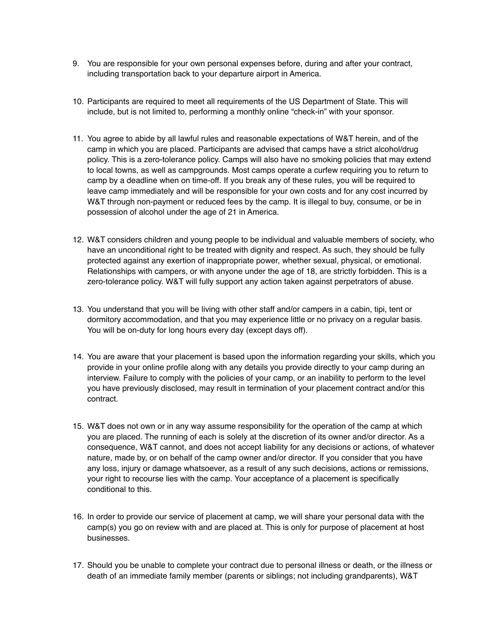- 9. You are responsible for your own personal expenses before, during and after your contract, including transportation back to your departure airport in America.
- 10. Participants are required to meet all requirements of the US Department of State. This will include, but is not limited to, performing a monthly online "check-in" with your sponsor.
- 11. You agree to abide by all lawful rules and reasonable expectations of W&T herein, and of the camp in which you are placed. Participants are advised that camps have a strict alcohol/drug policy. This is a zero-tolerance policy. Camps will also have no smoking policies that may extend to local towns, as well as campgrounds. Most camps operate a curfew requiring you to return to camp by a deadline when on time-off. If you break any of these rules, you will be required to leave camp immediately and will be responsible for your own costs and for any cost incurred by W&T through non-payment or reduced fees by the camp. It is illegal to buy, consume, or be in possession of alcohol under the age of 21 in America.
- 12. W&T considers children and young people to be individual and valuable members of society, who have an unconditional right to be treated with dignity and respect. As such, they should be fully protected against any exertion of inappropriate power, whether sexual, physical, or emotional. Relationships with campers, or with anyone under the age of 18, are strictly forbidden. This is a zero-tolerance policy. W&T will fully support any action taken against perpetrators of abuse.
- 13. You understand that you will be living with other staff and/or campers in a cabin, tipi, tent or dormitory accommodation, and that you may experience little or no privacy on a regular basis. You will be on-duty for long hours every day (except days off).
- 14. You are aware that your placement is based upon the information regarding your skills, which you provide in your online profile along with any details you provide directly to your camp during an interview. Failure to comply with the policies of your camp, or an inability to perform to the level you have previously disclosed, may result in termination of your placement contract and/or this contract.
- 15. W&T does not own or in any way assume responsibility for the operation of the camp at which you are placed. The running of each is solely at the discretion of its owner and/or director. As a consequence, W&T cannot, and does not accept liability for any decisions or actions, of whatever nature, made by, or on behalf of the camp owner and/or director. If you consider that you have any loss, injury or damage whatsoever, as a result of any such decisions, actions or remissions, your right to recourse lies with the camp. Your acceptance of a placement is specifically conditional to this.
- 16. In order to provide our service of placement at camp, we will share your personal data with the camp(s) you go on review with and are placed at. This is only for purpose of placement at host businesses.
- 17. Should you be unable to complete your contract due to personal illness or death, or the illness or death of an immediate family member (parents or siblings; not including grandparents), W&T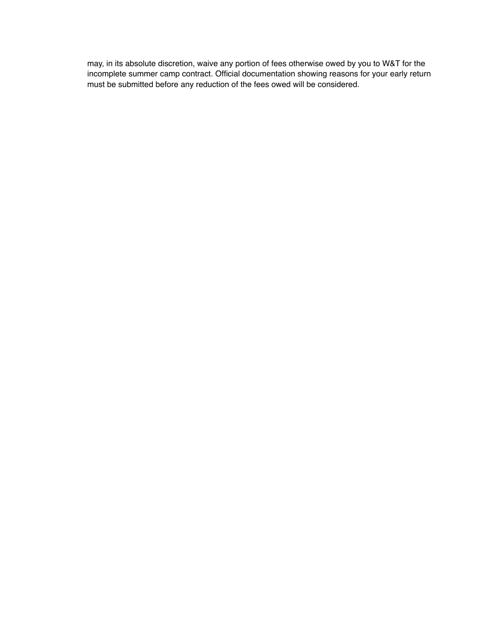may, in its absolute discretion, waive any portion of fees otherwise owed by you to W&T for the incomplete summer camp contract. Official documentation showing reasons for your early return must be submitted before any reduction of the fees owed will be considered.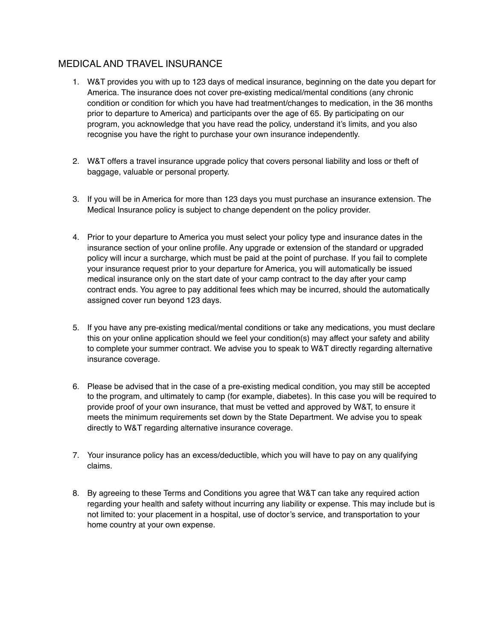# MEDICAL AND TRAVEL INSURANCE

- 1. W&T provides you with up to 123 days of medical insurance, beginning on the date you depart for America. The insurance does not cover pre-existing medical/mental conditions (any chronic condition or condition for which you have had treatment/changes to medication, in the 36 months prior to departure to America) and participants over the age of 65. By participating on our program, you acknowledge that you have read the policy, understand it's limits, and you also recognise you have the right to purchase your own insurance independently.
- 2. W&T offers a travel insurance upgrade policy that covers personal liability and loss or theft of baggage, valuable or personal property.
- 3. If you will be in America for more than 123 days you must purchase an insurance extension. The Medical Insurance policy is subject to change dependent on the policy provider.
- 4. Prior to your departure to America you must select your policy type and insurance dates in the insurance section of your online profile. Any upgrade or extension of the standard or upgraded policy will incur a surcharge, which must be paid at the point of purchase. If you fail to complete your insurance request prior to your departure for America, you will automatically be issued medical insurance only on the start date of your camp contract to the day after your camp contract ends. You agree to pay additional fees which may be incurred, should the automatically assigned cover run beyond 123 days.
- 5. If you have any pre-existing medical/mental conditions or take any medications, you must declare this on your online application should we feel your condition(s) may affect your safety and ability to complete your summer contract. We advise you to speak to W&T directly regarding alternative insurance coverage.
- 6. Please be advised that in the case of a pre-existing medical condition, you may still be accepted to the program, and ultimately to camp (for example, diabetes). In this case you will be required to provide proof of your own insurance, that must be vetted and approved by W&T, to ensure it meets the minimum requirements set down by the State Department. We advise you to speak directly to W&T regarding alternative insurance coverage.
- 7. Your insurance policy has an excess/deductible, which you will have to pay on any qualifying claims.
- 8. By agreeing to these Terms and Conditions you agree that W&T can take any required action regarding your health and safety without incurring any liability or expense. This may include but is not limited to: your placement in a hospital, use of doctor's service, and transportation to your home country at your own expense.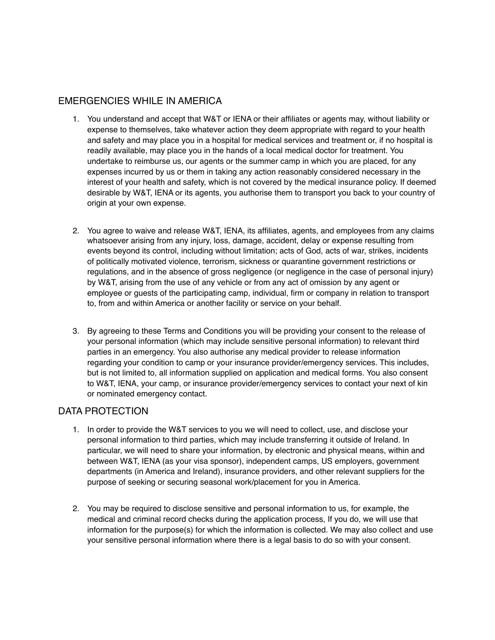# EMERGENCIES WHILE IN AMERICA

- 1. You understand and accept that W&T or IENA or their affiliates or agents may, without liability or expense to themselves, take whatever action they deem appropriate with regard to your health and safety and may place you in a hospital for medical services and treatment or, if no hospital is readily available, may place you in the hands of a local medical doctor for treatment. You undertake to reimburse us, our agents or the summer camp in which you are placed, for any expenses incurred by us or them in taking any action reasonably considered necessary in the interest of your health and safety, which is not covered by the medical insurance policy. If deemed desirable by W&T, IENA or its agents, you authorise them to transport you back to your country of origin at your own expense.
- 2. You agree to waive and release W&T, IENA, its affiliates, agents, and employees from any claims whatsoever arising from any injury, loss, damage, accident, delay or expense resulting from events beyond its control, including without limitation; acts of God, acts of war, strikes, incidents of politically motivated violence, terrorism, sickness or quarantine government restrictions or regulations, and in the absence of gross negligence (or negligence in the case of personal injury) by W&T, arising from the use of any vehicle or from any act of omission by any agent or employee or guests of the participating camp, individual, firm or company in relation to transport to, from and within America or another facility or service on your behalf.
- 3. By agreeing to these Terms and Conditions you will be providing your consent to the release of your personal information (which may include sensitive personal information) to relevant third parties in an emergency. You also authorise any medical provider to release information regarding your condition to camp or your insurance provider/emergency services. This includes, but is not limited to, all information supplied on application and medical forms. You also consent to W&T, IENA, your camp, or insurance provider/emergency services to contact your next of kin or nominated emergency contact.

# DATA PROTECTION

- 1. In order to provide the W&T services to you we will need to collect, use, and disclose your personal information to third parties, which may include transferring it outside of Ireland. In particular, we will need to share your information, by electronic and physical means, within and between W&T, IENA (as your visa sponsor), independent camps, US employers, government departments (in America and Ireland), insurance providers, and other relevant suppliers for the purpose of seeking or securing seasonal work/placement for you in America.
- 2. You may be required to disclose sensitive and personal information to us, for example, the medical and criminal record checks during the application process, If you do, we will use that information for the purpose(s) for which the information is collected. We may also collect and use your sensitive personal information where there is a legal basis to do so with your consent.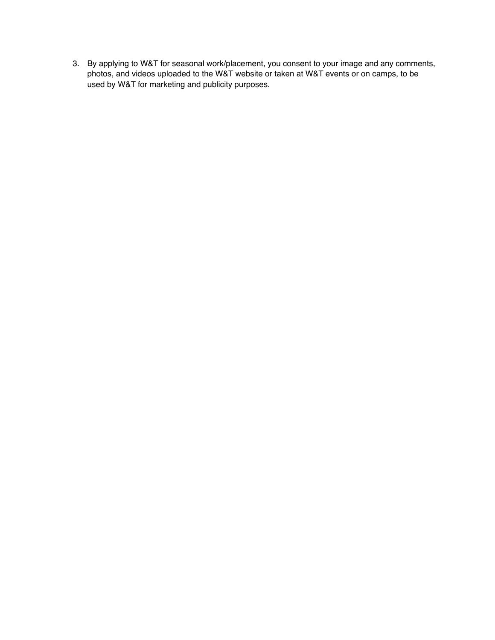3. By applying to W&T for seasonal work/placement, you consent to your image and any comments, photos, and videos uploaded to the W&T website or taken at W&T events or on camps, to be used by W&T for marketing and publicity purposes.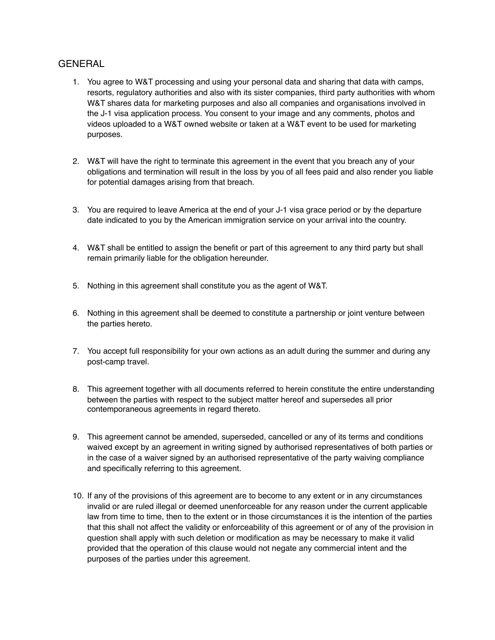### **GENERAL**

- 1. You agree to W&T processing and using your personal data and sharing that data with camps, resorts, regulatory authorities and also with its sister companies, third party authorities with whom W&T shares data for marketing purposes and also all companies and organisations involved in the J-1 visa application process. You consent to your image and any comments, photos and videos uploaded to a W&T owned website or taken at a W&T event to be used for marketing purposes.
- 2. W&T will have the right to terminate this agreement in the event that you breach any of your obligations and termination will result in the loss by you of all fees paid and also render you liable for potential damages arising from that breach.
- 3. You are required to leave America at the end of your J-1 visa grace period or by the departure date indicated to you by the American immigration service on your arrival into the country.
- 4. W&T shall be entitled to assign the benefit or part of this agreement to any third party but shall remain primarily liable for the obligation hereunder.
- 5. Nothing in this agreement shall constitute you as the agent of W&T.
- 6. Nothing in this agreement shall be deemed to constitute a partnership or joint venture between the parties hereto.
- 7. You accept full responsibility for your own actions as an adult during the summer and during any post-camp travel.
- 8. This agreement together with all documents referred to herein constitute the entire understanding between the parties with respect to the subject matter hereof and supersedes all prior contemporaneous agreements in regard thereto.
- 9. This agreement cannot be amended, superseded, cancelled or any of its terms and conditions waived except by an agreement in writing signed by authorised representatives of both parties or in the case of a waiver signed by an authorised representative of the party waiving compliance and specifically referring to this agreement.
- 10. If any of the provisions of this agreement are to become to any extent or in any circumstances invalid or are ruled illegal or deemed unenforceable for any reason under the current applicable law from time to time, then to the extent or in those circumstances it is the intention of the parties that this shall not affect the validity or enforceability of this agreement or of any of the provision in question shall apply with such deletion or modification as may be necessary to make it valid provided that the operation of this clause would not negate any commercial intent and the purposes of the parties under this agreement.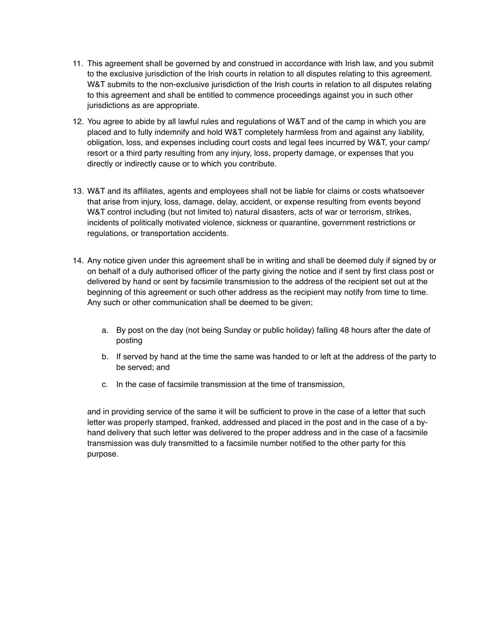- 11. This agreement shall be governed by and construed in accordance with Irish law, and you submit to the exclusive jurisdiction of the Irish courts in relation to all disputes relating to this agreement. W&T submits to the non-exclusive jurisdiction of the Irish courts in relation to all disputes relating to this agreement and shall be entitled to commence proceedings against you in such other jurisdictions as are appropriate.
- 12. You agree to abide by all lawful rules and regulations of W&T and of the camp in which you are placed and to fully indemnify and hold W&T completely harmless from and against any liability, obligation, loss, and expenses including court costs and legal fees incurred by W&T, your camp/ resort or a third party resulting from any injury, loss, property damage, or expenses that you directly or indirectly cause or to which you contribute.
- 13. W&T and its affiliates, agents and employees shall not be liable for claims or costs whatsoever that arise from injury, loss, damage, delay, accident, or expense resulting from events beyond W&T control including (but not limited to) natural disasters, acts of war or terrorism, strikes, incidents of politically motivated violence, sickness or quarantine, government restrictions or regulations, or transportation accidents.
- 14. Any notice given under this agreement shall be in writing and shall be deemed duly if signed by or on behalf of a duly authorised officer of the party giving the notice and if sent by first class post or delivered by hand or sent by facsimile transmission to the address of the recipient set out at the beginning of this agreement or such other address as the recipient may notify from time to time. Any such or other communication shall be deemed to be given;
	- a. By post on the day (not being Sunday or public holiday) falling 48 hours after the date of posting
	- b. If served by hand at the time the same was handed to or left at the address of the party to be served; and
	- c. In the case of facsimile transmission at the time of transmission,

and in providing service of the same it will be sufficient to prove in the case of a letter that such letter was properly stamped, franked, addressed and placed in the post and in the case of a byhand delivery that such letter was delivered to the proper address and in the case of a facsimile transmission was duly transmitted to a facsimile number notified to the other party for this purpose.